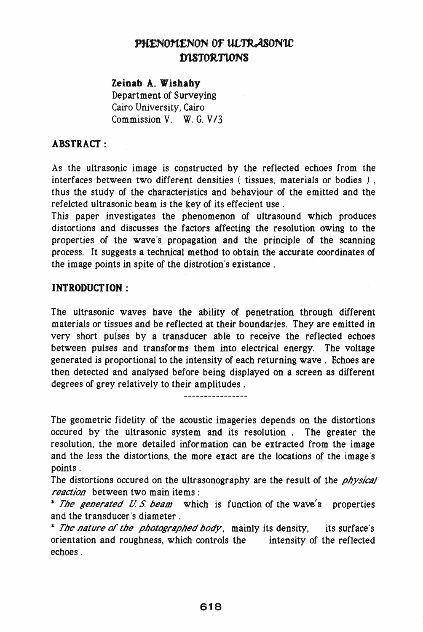# PHENOMENON OF ULTRASONIC D1.STORTTONS

#### Zeinab A. Wishahy

Department of Surveying Cairo University, Cairo Commission V. W. G. V *13* 

### ABSTRACT:

As the ultrasonic image is constructed by the reflected echoes from the interfaces between two different densities ( tissues, materials or bodies ) , thus the study of the characteristics and behaviour of the emitted and the refelcted ultrasonic beam is the key of its effecient use.

This paper investigates the phenomenon of ultrasound which produces distortions and discusses the factors affecting the resolution owing to the properties of the wave's propagation and the principle of the scanning process. It suggests a technical method to obtain the accurate coordinates of the image points in spite of the distrotion's existance.

### **INTRODUCTION:**

The ultrasonic waves have the ability of penetration through different materials or tissues and be reflected at their boundaries. They are emitted in very short pulses by a transducer able to receive the reflected echoes between pulses and transforms them into electrical energy. The voltage generated is proportional to the intensity of each returning wave. Echoes are then detected and analysed before being displayed on a screen as different degrees of grey relatively to their amplitudes.

The geometric fidelity of the acoustic imageries depends on the distortions occured by the ultrasonic system and its resolution. The greater the resolution, the more detailed information can be extracted from the image and the less the distortions, the more exact are the locations of the image's points.

The distortions occured on the ultrasonography are the result of the *physical* reaction between two main items:

\* The generated U.S. beam which is function of the wave's properties and the transducer's diameter.

\* The nature of the photographed body, mainly its density, its surface's orientation and roughness, which controls the intensity of the reflected echoes.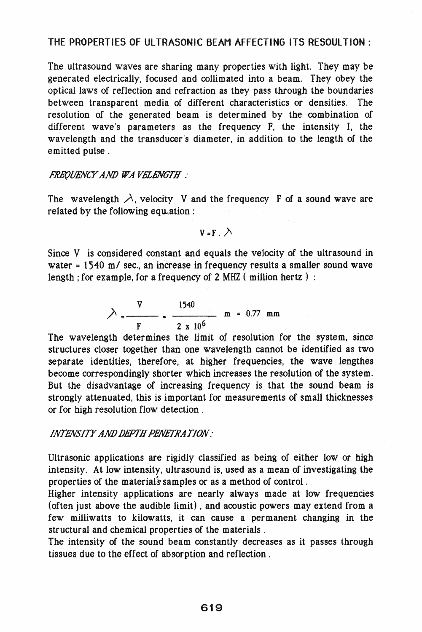## THE PROPERTIES OF ULTRASONIC BEAM AFFECTING ITS RESOUl TION :

The ultrasound waves are sharing many properties with light. They may be generated electrically, focused and collimated into a beam. They obey the optical laws of reflection and refraction as they pass through the boundaries between transparent media of different characteristics or densities. The resolution of the generated beam is determined by the combination of different wave's parameters as the frequency F, the intensity I, the wavelength and the transducer's diameter, in addition to the length of the emitted pulse .

#### *FHE(JUENCl*<sup>r</sup>*ANO WA V£l£Nt.1TH :*

The wavelength  $\lambda$ , velocity V and the frequency F of a sound wave are related by the following equation :

 $V = F \cdot \lambda$ 

Since V is considered constant and equals the velocity of the ultrasound in water = 1540 m/ sec., an increase in frequency results a smaller sound wave length; for example, for a frequency of 2 MHZ (million hertz):

$$
\lambda = \frac{V}{F} = \frac{1540}{2 \times 10^6} \text{ m} = 0.77 \text{ mm}
$$

The wavelength determines the limit of resolution for the system, since structures closer together than one wavelength cannot be identified as two separate identities, therefore, at higher frequencies, the wave lengthes become correspondingly shorter which increases the resolution of the system. But the disadvantage of increasing frequency is that the sound beam is strongly attenuated, this is important for measurements of small thicknesses or for high resolution flow detection.

#### *INT£N..'iITY ANO OBPTH PENETHATION:*

Ultrasonic applications are rigidly classified as being of either low or high intensity. At low intensity, ultrasound is, used as a mean of investigating the properties of the materials samples or as a method of control.

Higher intensity applications are nearly always made at low frequencies (often just above the audible limit) , and acoustic powers may extend from a few milliwatts to kilowatts, it can cause a per manent changing in the structural and chemical properties of the materials.

The intensity of the sound beam constantly decreases as it passes through tissues due to the effect of absorption and reflection.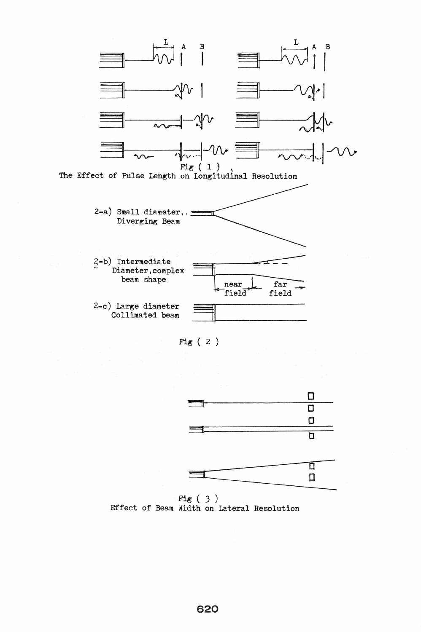

Fig ( 2 )



Fig ( 3 ) Effect of Beam Width on Lateral Resolution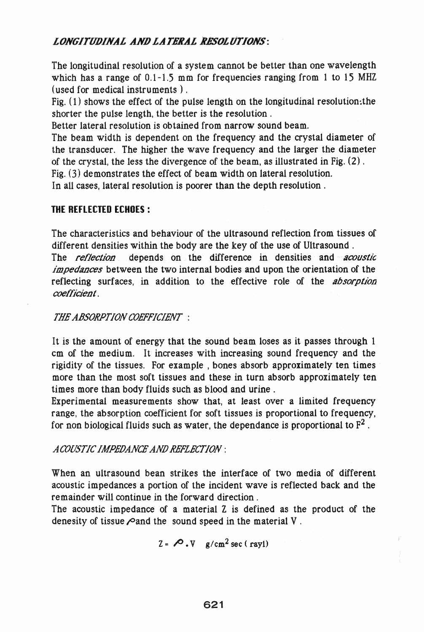## **LONGITUDINAL AND LATERAL RESOLUTIONS:**

The longitudinal resolution of a system cannot be better than one wavelength which has a range of 0.1-1.5 mm for frequencies ranging from 1 to 15 MHZ (used for medical instruments) .

Fig.  $(1)$  shows the effect of the pulse length on the longitudinal resolution: the shorter the pulse length, the better is the resolution.

Better lateral resolution is obtained from narrow sound beam.

The beam width is dependent on the frequency and the crystal diameter of the transducer. The higher the wave frequency and the larger the diameter of the crystal, the less the divergence of the beam, as illustrated in Fig. (2) .

Fig. (3) demonstrates the effect of beam width on lateral resolution.

In all cases, lateral resolution is poorer than the depth resolution.

### THE REFLECTED ECHOES:

The characteristics and behaviour of the ultrasound reflection from tissues of different densities within the body are the key of the use of Ultrasound. The *reflection* depends on the difference in densities and *acoustic impedances* between the two internal bodies and upon the orientation of the reflecting surfaces, in addition to the effective role of the *absorption coefficient.* 

### *THE ABSORPTION COEFFICIENT* :

It is the amount of energy that the sound beam loses as it passes through 1 cm of the medium. It increases with increasing sound frequency and the rigidity of the tissues. For example , bones absorb approximately ten times more than the most soft tissues and these in turn absorb approximately ten times more than body fluids such as blood and urine.

Experimental measurements show that, at least over a limited frequency range, the absorption coefficient for soft tissues is proportional to frequency, for non biological fluids such as water, the dependance is proportional to  $F<sup>2</sup>$ .

### *A COOSTIC IAIPEfJANCE ANIJ .REFLECTION:*

When an ultrasound bean strikes the interface of two media of different acoustic impedances a portion of the incident wave is reflected back and the remainder will continue in the forward direction.

The acoustic impedance of a material Z is defined as the product of the denesity of tissue  $\sqrt{2}$  and the sound speed in the material V.

$$
Z = \bigotimes \nabla \cdot V \quad g/cm^2 \sec (\text{rayl})
$$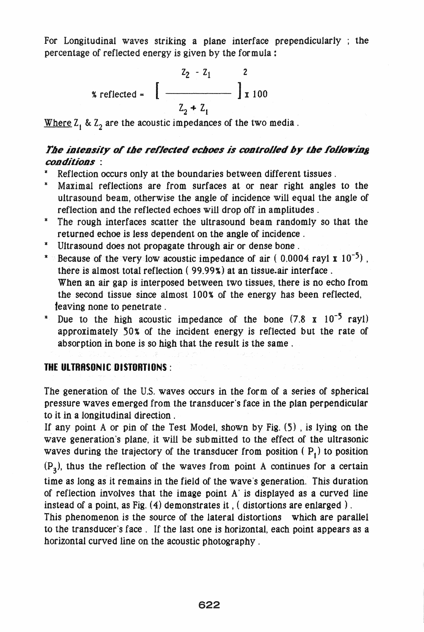For Longitudinal waves striking a plane interface prependicularly; the percentage of reflected energy is given by the formula:

$$
z_2 - z_1
$$
  
 
$$
z_2 - z_1
$$
  
 
$$
z_2 + z_1
$$

Where  $Z_1$  &  $Z_2$  are the acoustic impedances of the two media.

## The intensity of the reflected echoes is controlled by the following conditions :

- Reflection occurs only at the boundaries between different tissues.
- \* Maximal reflections are from surfaces at or near right angles to the ultrasound beam, otherwise the angle of incidence will equal the angle of reflection and the reflected echoes will drop off in amplitudes.
- The rough interfaces scatter the ultrasound beam randomly so that the returned echoe is less dependent on the angle of incidence.
- Ultrasound does not propagate through air or dense bone .
- \* Because of the very low acoustic impedance of air  $(0.0004 \text{ rayl} \times 10^{-5})$ . there is almost total reflection ( 99.99%) at an tissue.air interface. When an air gap is interposed between two tissues, there is no echo from the second tissue since almost 100% of the energy has been reflected, teaving none to penetrate.
- \* Due to the high acoustic impedance of the bone  $(7.8 \times 10^{-5} \text{ rayl})$ approximately 50% of the incident energy is reflected but the rate of absorption in bone is so high that the result is the same.

#### **THE ULTRASONIC DISTORTIONS :**

The generation of the U.S. waves occurs in the form of a series of spherical pressure waves emerged from the transducer's face in the plan perpendicular to it in a longitudinal direction.

If any point A or pin of the Test Model, shown by Fig. (5) , is lying on the wave generation's plane. it will be submitted to the effect of the ultrasonic waves during the trajectory of the transducer from position  $(P_1)$  to position  $(P_3)$ , thus the reflection of the waves from point A continues for a certain time as long as it remains in the field of the wave's generation. This duration of reflection involves that the image point A' is displayed as a curved line instead of a point, as Fig. (4) demonstrates it , ( distortions are enlarged) .

This phenomenon is the source of the lateral distortions which are parallel to the transducer's face. If the last one is horizontal, each point appears as a horizontal curved line on the acoustic photography .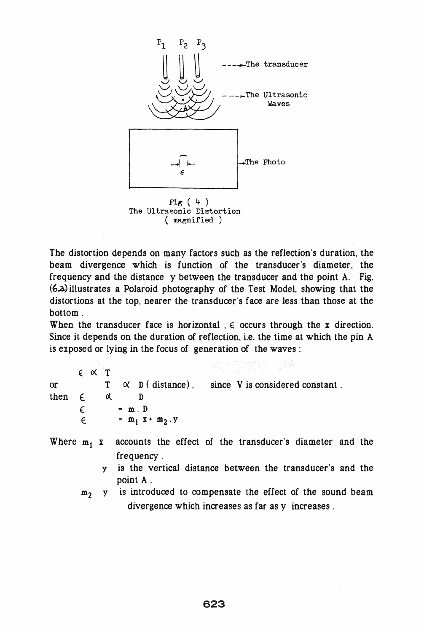

 $($  magnified  $)$ 

The distortion depends on many factors such as the reflection's duration, the beam divergence which is function of the transducer's diameter, the frequency and the distance y between the transducer and the point A. Fig. (6..0.) illustrates a Polaroid photography of the Test Model, showing that the distortions at the top, nearer the transducer's face are less than those at the bottom.

When the transducer face is horizontal,  $\epsilon$  occurs through the x direction. Since it depends on the duration of reflection, i.e. the time at which the pin A is exposed or lying in the focus of generation of the waves:

 $\epsilon \propto T$ or T ex D ( distance) , since V **is** considered constant. then  $\epsilon$   $\alpha$   $D$  $\epsilon$  = m. D  $\epsilon$  =  $m_1$  x +  $m_2$ . y

- Where  $m_1$  x accounts the effect of the transducer's diameter and the frequency .
	- y is the vertical distance between the transducer's and the point A .
	- $m<sub>2</sub>$  y is introduced to compensate the effect of the sound beam divergence which increases as far as y increases.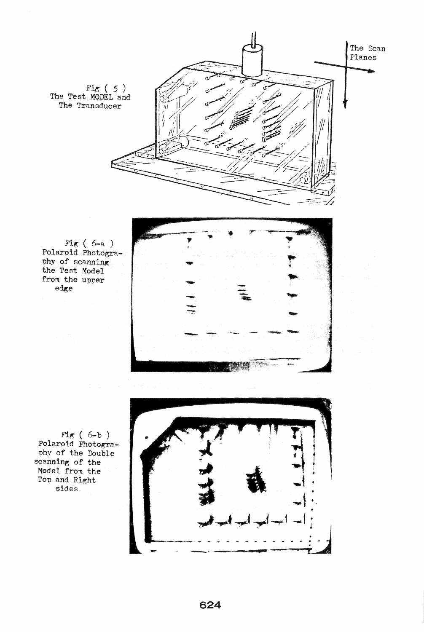Fig (  $5$  ) The Test MODEL and The Transducer



The Scan Planes

Fig ( 6-a )<br>Polaroid Photogra-<br>phy of scanning phy of scanning<br>the Test Model<br>from the upper edge

Fig ( 6-b )<br>Polaroid Photogra-<br>phy of the Double scanning of the Model from Top and Right sides